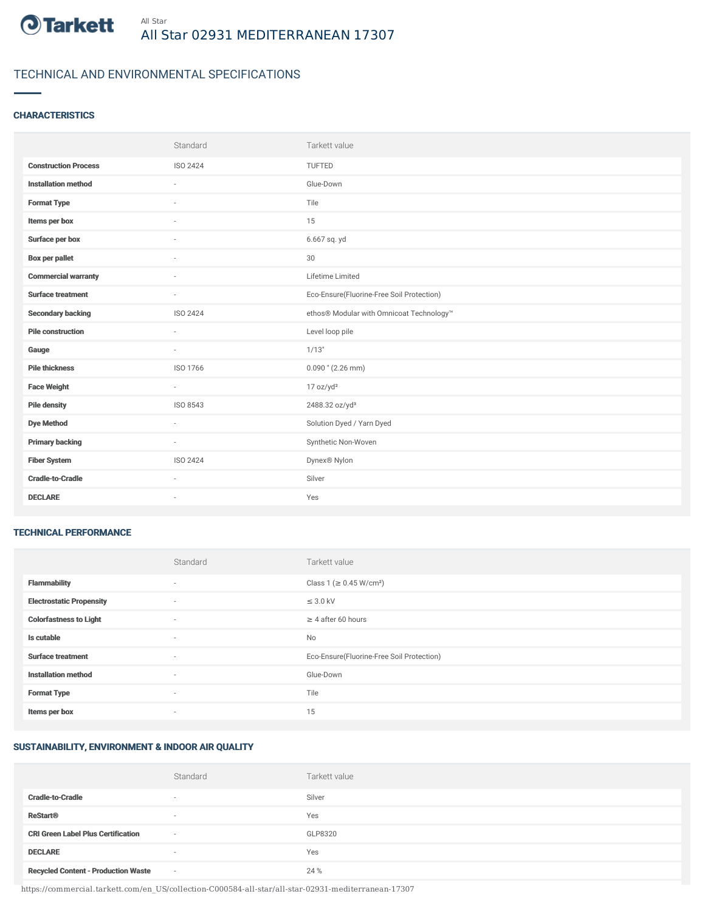

# TECHNICAL AND ENVIRONMENTAL SPECIFICATIONS

### **CHARACTERISTICS**

|                             | Standard        | Tarkett value                             |
|-----------------------------|-----------------|-------------------------------------------|
| <b>Construction Process</b> | ISO 2424        | TUFTED                                    |
| <b>Installation method</b>  | $\sim$          | Glue-Down                                 |
| <b>Format Type</b>          | ٠               | Tile                                      |
| Items per box               |                 | 15                                        |
| Surface per box             | $\sim$          | 6.667 sq. yd                              |
| <b>Box per pallet</b>       | ×.              | 30                                        |
| <b>Commercial warranty</b>  | $\sim$          | Lifetime Limited                          |
| <b>Surface treatment</b>    | $\sim$          | Eco-Ensure(Fluorine-Free Soil Protection) |
| <b>Secondary backing</b>    | ISO 2424        | ethos® Modular with Omnicoat Technology™  |
| <b>Pile construction</b>    | ٠               | Level loop pile                           |
| Gauge                       |                 | 1/13"                                     |
| <b>Pile thickness</b>       | ISO 1766        | $0.090$ " (2.26 mm)                       |
| <b>Face Weight</b>          | $\sim$          | 17 oz/yd <sup>2</sup>                     |
| <b>Pile density</b>         | ISO 8543        | 2488.32 oz/yd <sup>3</sup>                |
| <b>Dye Method</b>           | ٠               | Solution Dyed / Yarn Dyed                 |
| <b>Primary backing</b>      | ÷               | Synthetic Non-Woven                       |
| <b>Fiber System</b>         | <b>ISO 2424</b> | Dynex® Nylon                              |
| <b>Cradle-to-Cradle</b>     | ×.              | Silver                                    |
| <b>DECLARE</b>              | $\sim$          | Yes                                       |

#### TECHNICAL PERFORMANCE

|                                 | Standard                 | Tarkett value                             |
|---------------------------------|--------------------------|-------------------------------------------|
| <b>Flammability</b>             | ٠                        | Class 1 (≥ 0.45 W/cm <sup>2</sup> )       |
| <b>Electrostatic Propensity</b> | $\sim$                   | $\leq$ 3.0 kV                             |
| <b>Colorfastness to Light</b>   | ٠                        | $\geq 4$ after 60 hours                   |
| Is cutable                      | ٠                        | No                                        |
| <b>Surface treatment</b>        | ٠                        | Eco-Ensure(Fluorine-Free Soil Protection) |
| <b>Installation method</b>      | ٠                        | Glue-Down                                 |
| <b>Format Type</b>              | $\sim$                   | Tile                                      |
| Items per box                   | $\overline{\phantom{a}}$ | 15                                        |

## SUSTAINABILITY, ENVIRONMENT & INDOOR AIR QUALITY

|                                            | Standard                 | Tarkett value |
|--------------------------------------------|--------------------------|---------------|
| <b>Cradle-to-Cradle</b>                    | $\overline{\phantom{a}}$ | Silver        |
| <b>ReStart®</b>                            | $\overline{\phantom{a}}$ | Yes           |
| <b>CRI Green Label Plus Certification</b>  | $\sim$                   | GLP8320       |
| <b>DECLARE</b>                             | $\overline{\phantom{a}}$ | Yes           |
| <b>Recycled Content - Production Waste</b> | $\sim$                   | 24 %          |

https://commercial.tarkett.com/en\_US/collection-C000584-all-star/all-star-02931-mediterranean-17307